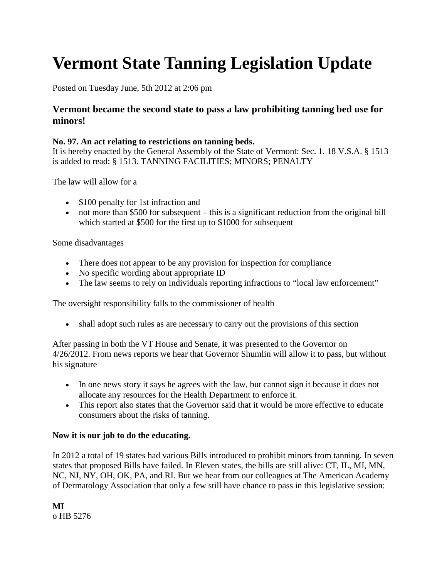# **Vermont State Tanning Legislation Update**

Posted on Tuesday June, 5th 2012 at 2:06 pm

# **Vermont became the second state to pass a law prohibiting tanning bed use for minors!**

#### **No. 97. An act relating to restrictions on tanning beds.**

It is hereby enacted by the General Assembly of the State of Vermont: Sec. 1. 18 V.S.A. § 1513 is added to read: § 1513. TANNING FACILITIES; MINORS; PENALTY

The law will allow for a

- \$100 penalty for 1st infraction and
- not more than \$500 for subsequent this is a significant reduction from the original bill which started at \$500 for the first up to \$1000 for subsequent

Some disadvantages

- There does not appear to be any provision for inspection for compliance
- No specific wording about appropriate ID
- The law seems to rely on individuals reporting infractions to "local law enforcement"

The oversight responsibility falls to the commissioner of health

• shall adopt such rules as are necessary to carry out the provisions of this section

After passing in both the VT House and Senate, it was presented to the Governor on 4/26/2012. From news reports we hear that Governor Shumlin will allow it to pass, but without his signature

- In one news story it says he agrees with the law, but cannot sign it because it does not allocate any resources for the Health Department to enforce it.
- This report also states that the Governor said that it would be more effective to educate consumers about the risks of tanning.

#### **Now it is our job to do the educating.**

In 2012 a total of 19 states had various Bills introduced to prohibit minors from tanning. In seven states that proposed Bills have failed. In Eleven states, the bills are still alive: CT, IL, MI, MN, NC, NJ, NY, OH, OK, PA, and RI. But we hear from our colleagues at The American Academy of Dermatology Association that only a few still have chance to pass in this legislative session:

**MI** o HB 5276